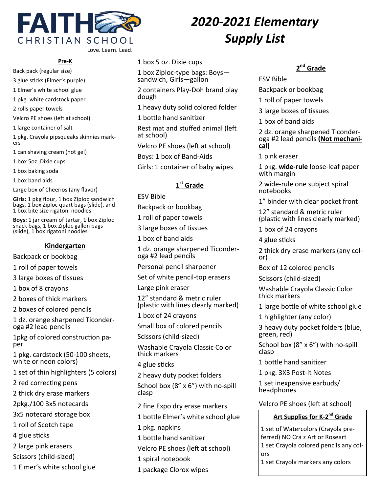

# *2020-2021 Elementary Supply List*

#### **Pre-K**

- Back pack (regular size)
- 3 glue sticks (Elmer's purple)
- 1 Elmer's white school glue
- 1 pkg. white cardstock paper
- 2 rolls paper towels
- Velcro PE shoes (left at school)
- 1 large container of salt
- 1 pkg. Crayola pipsqueaks skinnies markers
- 1 can shaving cream (not gel)
- 1 box 5oz. Dixie cups
- 1 box baking soda

1 box band aids

Large box of Cheerios (any flavor)

**Girls:** 1 pkg flour, 1 box Ziploc sandwich bags, 1 box Ziploc quart bags (slide), and 1 box bite size rigatoni noodles

**Boys:** 1 jar cream of tartar, 1 box Ziploc snack bags, 1 box Ziploc gallon bags (slide), 1 box rigatoni noodles

#### **Kindergarten**

Backpack or bookbag

1 roll of paper towels

3 large boxes of tissues

- 1 box of 8 crayons
- 2 boxes of thick markers
- 2 boxes of colored pencils

1 dz. orange sharpened Ticonderoga #2 lead pencils

1pkg of colored construction paper

1 pkg. cardstock (50-100 sheets, white or neon colors)

1 set of thin highlighters (5 colors)

2 red correcting pens

2 thick dry erase markers

2pkg./100 3x5 notecards

3x5 notecard storage box

1 roll of Scotch tape

4 glue sticks

2 large pink erasers

Scissors (child-sized)

1 Elmer's white school glue

1 box 5 oz. Dixie cups

- 1 box Ziploc-type bags: Boys sandwich, Girls—gallon
- 2 containers Play-Doh brand play dough
- 1 heavy duty solid colored folder
- 1 bottle hand sanitizer

Rest mat and stuffed animal (left at school)

Velcro PE shoes (left at school)

Boys: 1 box of Band-Aids

Girls: 1 container of baby wipes

## **1 st Grade**

ESV Bible

Backpack or bookbag

1 roll of paper towels

3 large boxes of tissues

1 box of band aids

1 dz. orange sharpened Ticonderoga #2 lead pencils

Personal pencil sharpener

Set of white pencil-top erasers

Large pink eraser

12" standard & metric ruler (plastic with lines clearly marked)

1 box of 24 crayons

Small box of colored pencils

Scissors (child-sized)

Washable Crayola Classic Color thick markers

4 glue sticks

2 heavy duty pocket folders School box (8" x 6") with no-spill clasp

- 2 fine Expo dry erase markers
- 1 bottle Elmer's white school glue
- 1 pkg. napkins
- 1 bottle hand sanitizer
- Velcro PE shoes (left at school)
- 1 spiral notebook
- 1 package Clorox wipes

## **2 nd Grade**

ESV Bible

Backpack or bookbag

- 1 roll of paper towels
- 3 large boxes of tissues
- 1 box of band aids

2 dz. orange sharpened Ticonderoga #2 lead pencils **(Not mechanical)**

1 pink eraser

1 pkg. **wide-rule** loose-leaf paper with margin

2 wide-rule one subject spiral notebooks

1" binder with clear pocket front

12" standard & metric ruler (plastic with lines clearly marked)

1 box of 24 crayons

4 glue sticks

2 thick dry erase markers (any color)

Box of 12 colored pencils

Scissors (child-sized)

Washable Crayola Classic Color thick markers

1 large bottle of white school glue

1 highlighter (any color)

3 heavy duty pocket folders (blue, green, red)

School box (8" x 6") with no-spill clasp

1 bottle hand sanitizer

1 pkg. 3X3 Post-it Notes

1 set inexpensive earbuds/ headphones

Velcro PE shoes (left at school)

#### **Art Supplies for K-2 nd Grade**

1 set of Watercolors (Crayola preferred) NO Cra z Art or Roseart 1 set Crayola colored pencils any colors

1 set Crayola markers any colors